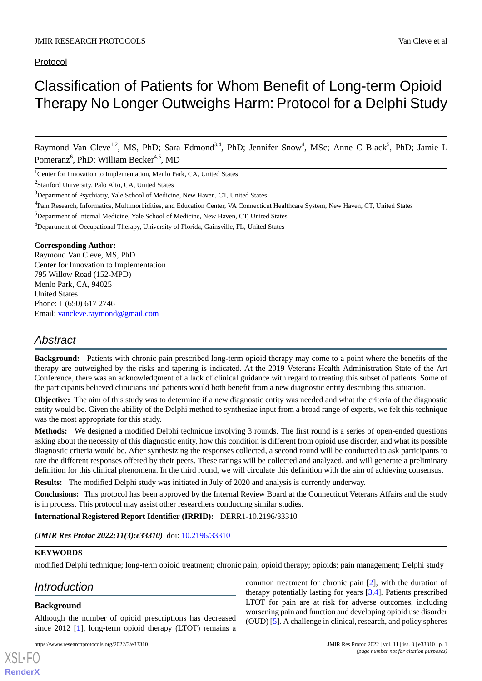# Protocol

# Classification of Patients for Whom Benefit of Long-term Opioid Therapy No Longer Outweighs Harm: Protocol for a Delphi Study

Raymond Van Cleve<sup>1,2</sup>, MS, PhD; Sara Edmond<sup>3,4</sup>, PhD; Jennifer Snow<sup>4</sup>, MSc; Anne C Black<sup>5</sup>, PhD; Jamie L Pomeranz<sup>6</sup>, PhD; William Becker<sup>4,5</sup>, MD

<sup>1</sup>Center for Innovation to Implementation, Menlo Park, CA, United States

<sup>2</sup>Stanford University, Palo Alto, CA, United States

<sup>3</sup>Department of Psychiatry, Yale School of Medicine, New Haven, CT, United States

- <sup>4</sup>Pain Research, Informatics, Multimorbidities, and Education Center, VA Connecticut Healthcare System, New Haven, CT, United States
- <sup>5</sup>Department of Internal Medicine, Yale School of Medicine, New Haven, CT, United States

<sup>6</sup>Department of Occupational Therapy, University of Florida, Gainsville, FL, United States

#### **Corresponding Author:**

Raymond Van Cleve, MS, PhD Center for Innovation to Implementation 795 Willow Road (152-MPD) Menlo Park, CA, 94025 United States Phone: 1 (650) 617 2746 Email: [vancleve.raymond@gmail.com](mailto:vancleve.raymond@gmail.com)

# *Abstract*

**Background:** Patients with chronic pain prescribed long-term opioid therapy may come to a point where the benefits of the therapy are outweighed by the risks and tapering is indicated. At the 2019 Veterans Health Administration State of the Art Conference, there was an acknowledgment of a lack of clinical guidance with regard to treating this subset of patients. Some of the participants believed clinicians and patients would both benefit from a new diagnostic entity describing this situation.

**Objective:** The aim of this study was to determine if a new diagnostic entity was needed and what the criteria of the diagnostic entity would be. Given the ability of the Delphi method to synthesize input from a broad range of experts, we felt this technique was the most appropriate for this study.

**Methods:** We designed a modified Delphi technique involving 3 rounds. The first round is a series of open-ended questions asking about the necessity of this diagnostic entity, how this condition is different from opioid use disorder, and what its possible diagnostic criteria would be. After synthesizing the responses collected, a second round will be conducted to ask participants to rate the different responses offered by their peers. These ratings will be collected and analyzed, and will generate a preliminary definition for this clinical phenomena. In the third round, we will circulate this definition with the aim of achieving consensus.

**Results:** The modified Delphi study was initiated in July of 2020 and analysis is currently underway.

**Conclusions:** This protocol has been approved by the Internal Review Board at the Connecticut Veterans Affairs and the study is in process. This protocol may assist other researchers conducting similar studies.

**International Registered Report Identifier (IRRID):** DERR1-10.2196/33310

(JMIR Res Protoc 2022;11(3):e33310) doi: [10.2196/33310](http://dx.doi.org/10.2196/33310)

# **KEYWORDS**

modified Delphi technique; long-term opioid treatment; chronic pain; opioid therapy; opioids; pain management; Delphi study

# *Introduction*

#### **Background**

[XSL](http://www.w3.org/Style/XSL)•FO **[RenderX](http://www.renderx.com/)**

Although the number of opioid prescriptions has decreased since 2012 [[1\]](#page-5-0), long-term opioid therapy (LTOT) remains a

common treatment for chronic pain [\[2](#page-5-1)], with the duration of therapy potentially lasting for years [[3](#page-5-2)[,4](#page-5-3)]. Patients prescribed LTOT for pain are at risk for adverse outcomes, including worsening pain and function and developing opioid use disorder (OUD) [\[5](#page-5-4)]. A challenge in clinical, research, and policy spheres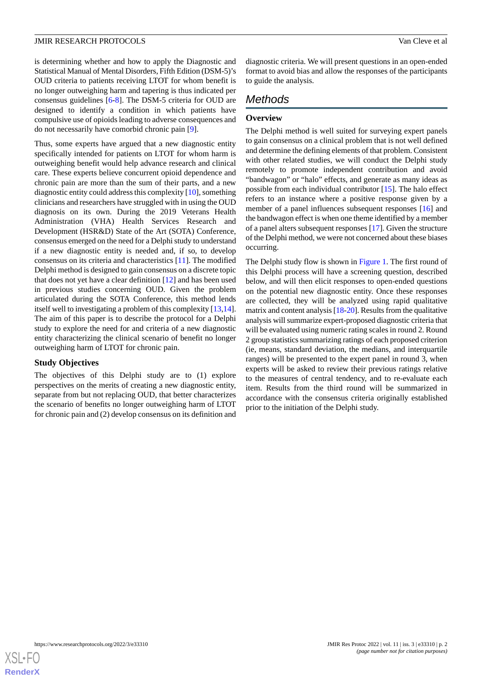is determining whether and how to apply the Diagnostic and Statistical Manual of Mental Disorders, Fifth Edition (DSM-5)'s OUD criteria to patients receiving LTOT for whom benefit is no longer outweighing harm and tapering is thus indicated per consensus guidelines [[6](#page-5-5)[-8](#page-5-6)]. The DSM-5 criteria for OUD are designed to identify a condition in which patients have compulsive use of opioids leading to adverse consequences and do not necessarily have comorbid chronic pain [[9\]](#page-5-7).

Thus, some experts have argued that a new diagnostic entity specifically intended for patients on LTOT for whom harm is outweighing benefit would help advance research and clinical care. These experts believe concurrent opioid dependence and chronic pain are more than the sum of their parts, and a new diagnostic entity could address this complexity [\[10](#page-5-8)], something clinicians and researchers have struggled with in using the OUD diagnosis on its own. During the 2019 Veterans Health Administration (VHA) Health Services Research and Development (HSR&D) State of the Art (SOTA) Conference, consensus emerged on the need for a Delphi study to understand if a new diagnostic entity is needed and, if so, to develop consensus on its criteria and characteristics [[11\]](#page-5-9). The modified Delphi method is designed to gain consensus on a discrete topic that does not yet have a clear definition [[12\]](#page-5-10) and has been used in previous studies concerning OUD. Given the problem articulated during the SOTA Conference, this method lends itself well to investigating a problem of this complexity [[13,](#page-5-11)[14\]](#page-5-12). The aim of this paper is to describe the protocol for a Delphi study to explore the need for and criteria of a new diagnostic entity characterizing the clinical scenario of benefit no longer outweighing harm of LTOT for chronic pain.

# **Study Objectives**

The objectives of this Delphi study are to (1) explore perspectives on the merits of creating a new diagnostic entity, separate from but not replacing OUD, that better characterizes the scenario of benefits no longer outweighing harm of LTOT for chronic pain and (2) develop consensus on its definition and

diagnostic criteria. We will present questions in an open-ended format to avoid bias and allow the responses of the participants to guide the analysis.

# *Methods*

# **Overview**

The Delphi method is well suited for surveying expert panels to gain consensus on a clinical problem that is not well defined and determine the defining elements of that problem. Consistent with other related studies, we will conduct the Delphi study remotely to promote independent contribution and avoid "bandwagon" or "halo" effects, and generate as many ideas as possible from each individual contributor [\[15](#page-5-13)]. The halo effect refers to an instance where a positive response given by a member of a panel influences subsequent responses [[16\]](#page-5-14) and the bandwagon effect is when one theme identified by a member of a panel alters subsequent responses [\[17](#page-5-15)]. Given the structure of the Delphi method, we were not concerned about these biases occurring.

The Delphi study flow is shown in [Figure 1](#page-2-0). The first round of this Delphi process will have a screening question, described below, and will then elicit responses to open-ended questions on the potential new diagnostic entity. Once these responses are collected, they will be analyzed using rapid qualitative matrix and content analysis [\[18](#page-5-16)[-20](#page-5-17)]. Results from the qualitative analysis will summarize expert-proposed diagnostic criteria that will be evaluated using numeric rating scales in round 2. Round 2 group statistics summarizing ratings of each proposed criterion (ie, means, standard deviation, the medians, and interquartile ranges) will be presented to the expert panel in round 3, when experts will be asked to review their previous ratings relative to the measures of central tendency, and to re-evaluate each item. Results from the third round will be summarized in accordance with the consensus criteria originally established prior to the initiation of the Delphi study.

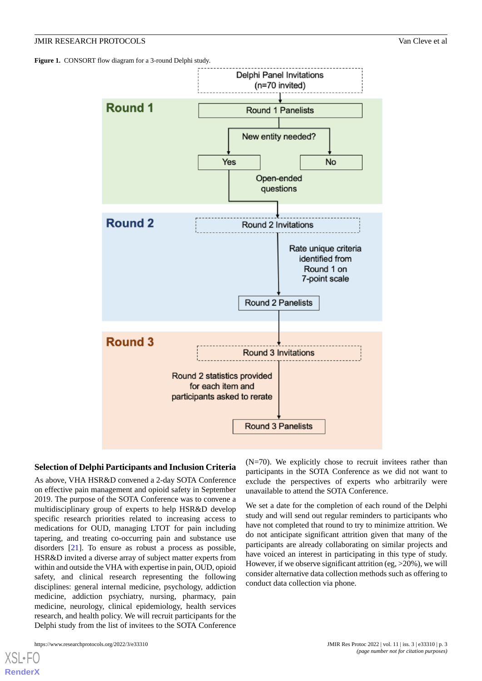<span id="page-2-0"></span>Figure 1. CONSORT flow diagram for a 3-round Delphi study.



#### **Selection of Delphi Participants and Inclusion Criteria**

As above, VHA HSR&D convened a 2-day SOTA Conference on effective pain management and opioid safety in September 2019. The purpose of the SOTA Conference was to convene a multidisciplinary group of experts to help HSR&D develop specific research priorities related to increasing access to medications for OUD, managing LTOT for pain including tapering, and treating co-occurring pain and substance use disorders [[21\]](#page-5-18). To ensure as robust a process as possible, HSR&D invited a diverse array of subject matter experts from within and outside the VHA with expertise in pain, OUD, opioid safety, and clinical research representing the following disciplines: general internal medicine, psychology, addiction medicine, addiction psychiatry, nursing, pharmacy, pain medicine, neurology, clinical epidemiology, health services research, and health policy. We will recruit participants for the Delphi study from the list of invitees to the SOTA Conference

(N=70). We explicitly chose to recruit invitees rather than participants in the SOTA Conference as we did not want to exclude the perspectives of experts who arbitrarily were unavailable to attend the SOTA Conference.

We set a date for the completion of each round of the Delphi study and will send out regular reminders to participants who have not completed that round to try to minimize attrition. We do not anticipate significant attrition given that many of the participants are already collaborating on similar projects and have voiced an interest in participating in this type of study. However, if we observe significant attrition (eg,  $>20\%$ ), we will consider alternative data collection methods such as offering to conduct data collection via phone.

[XSL](http://www.w3.org/Style/XSL)•FO **[RenderX](http://www.renderx.com/)**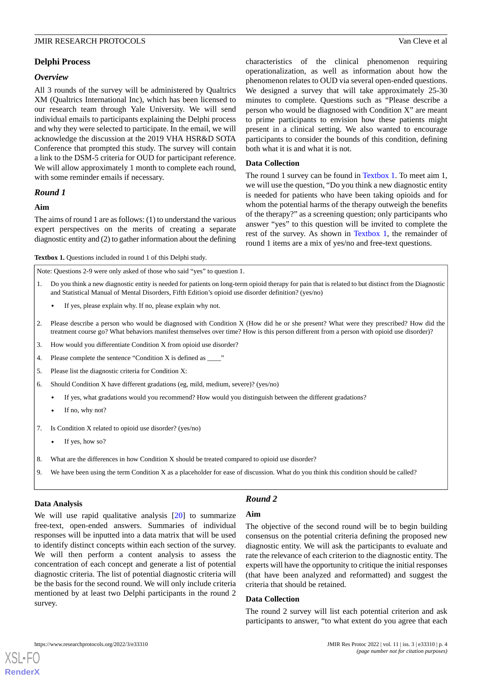#### *Overview*

All 3 rounds of the survey will be administered by Qualtrics XM (Qualtrics International Inc), which has been licensed to our research team through Yale University. We will send individual emails to participants explaining the Delphi process and why they were selected to participate. In the email, we will acknowledge the discussion at the 2019 VHA HSR&D SOTA Conference that prompted this study. The survey will contain a link to the DSM-5 criteria for OUD for participant reference. We will allow approximately 1 month to complete each round, with some reminder emails if necessary.

#### *Round 1*

#### **Aim**

<span id="page-3-0"></span>The aims of round 1 are as follows: (1) to understand the various expert perspectives on the merits of creating a separate diagnostic entity and (2) to gather information about the defining

**Textbox 1.** Questions included in round 1 of this Delphi study.

Note: Questions 2-9 were only asked of those who said "yes" to question 1.

- 1. Do you think a new diagnostic entity is needed for patients on long-term opioid therapy for pain that is related to but distinct from the Diagnostic and Statistical Manual of Mental Disorders, Fifth Edition's opioid use disorder definition? (yes/no)
	- If yes, please explain why. If no, please explain why not.
- 2. Please describe a person who would be diagnosed with Condition X (How did he or she present? What were they prescribed? How did the treatment course go? What behaviors manifest themselves over time? How is this person different from a person with opioid use disorder)?
- 3. How would you differentiate Condition X from opioid use disorder?
- 4. Please complete the sentence "Condition X is defined as \_\_\_\_"
- 5. Please list the diagnostic criteria for Condition X:
- 6. Should Condition X have different gradations (eg, mild, medium, severe)? (yes/no)
	- If yes, what gradations would you recommend? How would you distinguish between the different gradations?
	- If no, why not?
- 7. Is Condition X related to opioid use disorder? (yes/no)
	- If yes, how so?
- 8. What are the differences in how Condition X should be treated compared to opioid use disorder?
- 9. We have been using the term Condition X as a placeholder for ease of discussion. What do you think this condition should be called?

#### **Data Analysis**

[XSL](http://www.w3.org/Style/XSL)•FO **[RenderX](http://www.renderx.com/)**

*Round 2*

We will use rapid qualitative analysis [[20\]](#page-5-17) to summarize free-text, open-ended answers. Summaries of individual responses will be inputted into a data matrix that will be used to identify distinct concepts within each section of the survey. We will then perform a content analysis to assess the concentration of each concept and generate a list of potential diagnostic criteria. The list of potential diagnostic criteria will be the basis for the second round. We will only include criteria mentioned by at least two Delphi participants in the round 2 survey.

# **Aim**

The objective of the second round will be to begin building consensus on the potential criteria defining the proposed new diagnostic entity. We will ask the participants to evaluate and rate the relevance of each criterion to the diagnostic entity. The experts will have the opportunity to critique the initial responses (that have been analyzed and reformatted) and suggest the criteria that should be retained.

#### **Data Collection**

The round 2 survey will list each potential criterion and ask participants to answer, "to what extent do you agree that each

characteristics of the clinical phenomenon requiring operationalization, as well as information about how the phenomenon relates to OUD via several open-ended questions. We designed a survey that will take approximately 25-30 minutes to complete. Questions such as "Please describe a person who would be diagnosed with Condition X" are meant to prime participants to envision how these patients might present in a clinical setting. We also wanted to encourage participants to consider the bounds of this condition, defining both what it is and what it is not.

#### **Data Collection**

The round 1 survey can be found in [Textbox 1](#page-3-0). To meet aim 1, we will use the question, "Do you think a new diagnostic entity is needed for patients who have been taking opioids and for whom the potential harms of the therapy outweigh the benefits of the therapy?" as a screening question; only participants who answer "yes" to this question will be invited to complete the rest of the survey. As shown in [Textbox 1](#page-3-0), the remainder of round 1 items are a mix of yes/no and free-text questions.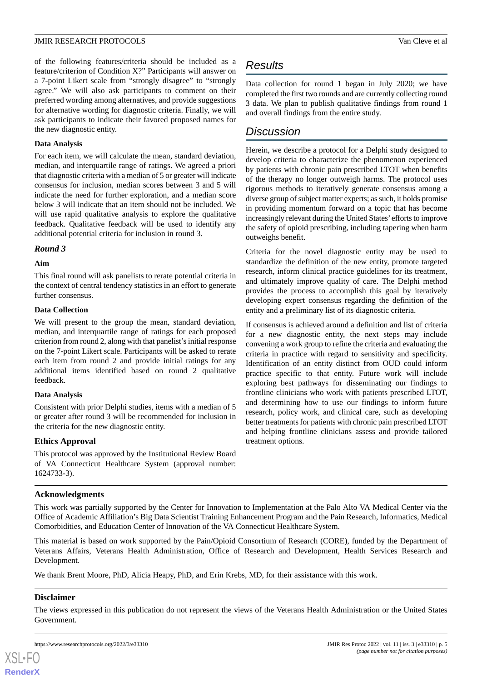of the following features/criteria should be included as a feature/criterion of Condition X?" Participants will answer on a 7-point Likert scale from "strongly disagree" to "strongly agree." We will also ask participants to comment on their preferred wording among alternatives, and provide suggestions for alternative wording for diagnostic criteria. Finally, we will ask participants to indicate their favored proposed names for the new diagnostic entity.

#### **Data Analysis**

For each item, we will calculate the mean, standard deviation, median, and interquartile range of ratings. We agreed a priori that diagnostic criteria with a median of 5 or greater will indicate consensus for inclusion, median scores between 3 and 5 will indicate the need for further exploration, and a median score below 3 will indicate that an item should not be included. We will use rapid qualitative analysis to explore the qualitative feedback. Qualitative feedback will be used to identify any additional potential criteria for inclusion in round 3.

#### *Round 3*

#### **Aim**

This final round will ask panelists to rerate potential criteria in the context of central tendency statistics in an effort to generate further consensus.

#### **Data Collection**

We will present to the group the mean, standard deviation, median, and interquartile range of ratings for each proposed criterion from round 2, along with that panelist's initial response on the 7-point Likert scale. Participants will be asked to rerate each item from round 2 and provide initial ratings for any additional items identified based on round 2 qualitative feedback.

# **Data Analysis**

Consistent with prior Delphi studies, items with a median of 5 or greater after round 3 will be recommended for inclusion in the criteria for the new diagnostic entity.

# **Ethics Approval**

This protocol was approved by the Institutional Review Board of VA Connecticut Healthcare System (approval number: 1624733-3).

# **Acknowledgments**

This work was partially supported by the Center for Innovation to Implementation at the Palo Alto VA Medical Center via the Office of Academic Affiliation's Big Data Scientist Training Enhancement Program and the Pain Research, Informatics, Medical Comorbidities, and Education Center of Innovation of the VA Connecticut Healthcare System.

This material is based on work supported by the Pain/Opioid Consortium of Research (CORE), funded by the Department of Veterans Affairs, Veterans Health Administration, Office of Research and Development, Health Services Research and Development.

We thank Brent Moore, PhD, Alicia Heapy, PhD, and Erin Krebs, MD, for their assistance with this work.

# **Disclaimer**

The views expressed in this publication do not represent the views of the Veterans Health Administration or the United States Government.



# *Results*

Data collection for round 1 began in July 2020; we have completed the first two rounds and are currently collecting round 3 data. We plan to publish qualitative findings from round 1 and overall findings from the entire study.

# *Discussion*

Herein, we describe a protocol for a Delphi study designed to develop criteria to characterize the phenomenon experienced by patients with chronic pain prescribed LTOT when benefits of the therapy no longer outweigh harms. The protocol uses rigorous methods to iteratively generate consensus among a diverse group of subject matter experts; as such, it holds promise in providing momentum forward on a topic that has become increasingly relevant during the United States'efforts to improve the safety of opioid prescribing, including tapering when harm outweighs benefit.

Criteria for the novel diagnostic entity may be used to standardize the definition of the new entity, promote targeted research, inform clinical practice guidelines for its treatment, and ultimately improve quality of care. The Delphi method provides the process to accomplish this goal by iteratively developing expert consensus regarding the definition of the entity and a preliminary list of its diagnostic criteria.

If consensus is achieved around a definition and list of criteria for a new diagnostic entity, the next steps may include convening a work group to refine the criteria and evaluating the criteria in practice with regard to sensitivity and specificity. Identification of an entity distinct from OUD could inform practice specific to that entity. Future work will include exploring best pathways for disseminating our findings to frontline clinicians who work with patients prescribed LTOT, and determining how to use our findings to inform future research, policy work, and clinical care, such as developing better treatments for patients with chronic pain prescribed LTOT and helping frontline clinicians assess and provide tailored treatment options.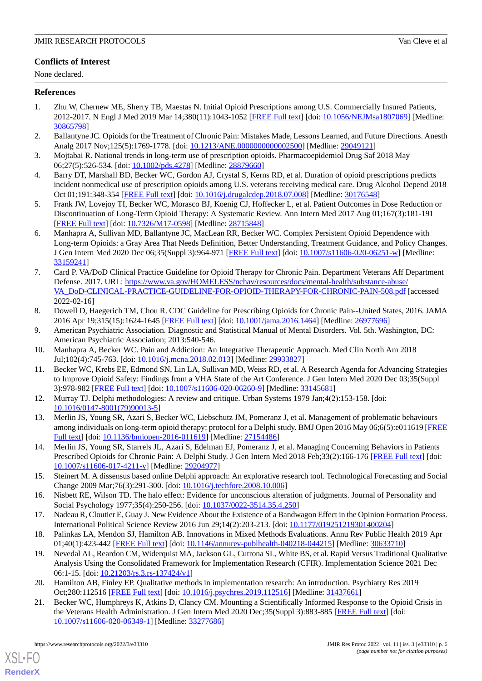# **Conflicts of Interest**

None declared.

# <span id="page-5-0"></span>**References**

- 1. Zhu W, Chernew ME, Sherry TB, Maestas N. Initial Opioid Prescriptions among U.S. Commercially Insured Patients, 2012-2017. N Engl J Med 2019 Mar 14;380(11):1043-1052 [\[FREE Full text\]](http://europepmc.org/abstract/MED/30865798) [doi: [10.1056/NEJMsa1807069\]](http://dx.doi.org/10.1056/NEJMsa1807069) [Medline: [30865798](http://www.ncbi.nlm.nih.gov/entrez/query.fcgi?cmd=Retrieve&db=PubMed&list_uids=30865798&dopt=Abstract)]
- <span id="page-5-2"></span><span id="page-5-1"></span>2. Ballantyne JC. Opioids for the Treatment of Chronic Pain: Mistakes Made, Lessons Learned, and Future Directions. Anesth Analg 2017 Nov;125(5):1769-1778. [doi: [10.1213/ANE.0000000000002500](http://dx.doi.org/10.1213/ANE.0000000000002500)] [Medline: [29049121](http://www.ncbi.nlm.nih.gov/entrez/query.fcgi?cmd=Retrieve&db=PubMed&list_uids=29049121&dopt=Abstract)]
- <span id="page-5-3"></span>3. Mojtabai R. National trends in long-term use of prescription opioids. Pharmacoepidemiol Drug Saf 2018 May 06;27(5):526-534. [doi: [10.1002/pds.4278](http://dx.doi.org/10.1002/pds.4278)] [Medline: [28879660\]](http://www.ncbi.nlm.nih.gov/entrez/query.fcgi?cmd=Retrieve&db=PubMed&list_uids=28879660&dopt=Abstract)
- <span id="page-5-4"></span>4. Barry DT, Marshall BD, Becker WC, Gordon AJ, Crystal S, Kerns RD, et al. Duration of opioid prescriptions predicts incident nonmedical use of prescription opioids among U.S. veterans receiving medical care. Drug Alcohol Depend 2018 Oct 01;191:348-354 [\[FREE Full text\]](http://europepmc.org/abstract/MED/30176548) [doi: [10.1016/j.drugalcdep.2018.07.008](http://dx.doi.org/10.1016/j.drugalcdep.2018.07.008)] [Medline: [30176548](http://www.ncbi.nlm.nih.gov/entrez/query.fcgi?cmd=Retrieve&db=PubMed&list_uids=30176548&dopt=Abstract)]
- <span id="page-5-5"></span>5. Frank JW, Lovejoy TI, Becker WC, Morasco BJ, Koenig CJ, Hoffecker L, et al. Patient Outcomes in Dose Reduction or Discontinuation of Long-Term Opioid Therapy: A Systematic Review. Ann Intern Med 2017 Aug 01;167(3):181-191 [[FREE Full text](https://www.acpjournals.org/doi/abs/10.7326/M17-0598?url_ver=Z39.88-2003&rfr_id=ori:rid:crossref.org&rfr_dat=cr_pub%3dpubmed)] [doi: [10.7326/M17-0598\]](http://dx.doi.org/10.7326/M17-0598) [Medline: [28715848\]](http://www.ncbi.nlm.nih.gov/entrez/query.fcgi?cmd=Retrieve&db=PubMed&list_uids=28715848&dopt=Abstract)
- 6. Manhapra A, Sullivan MD, Ballantyne JC, MacLean RR, Becker WC. Complex Persistent Opioid Dependence with Long-term Opioids: a Gray Area That Needs Definition, Better Understanding, Treatment Guidance, and Policy Changes. J Gen Intern Med 2020 Dec 06;35(Suppl 3):964-971 [[FREE Full text](http://europepmc.org/abstract/MED/33159241)] [doi: [10.1007/s11606-020-06251-w\]](http://dx.doi.org/10.1007/s11606-020-06251-w) [Medline: [33159241](http://www.ncbi.nlm.nih.gov/entrez/query.fcgi?cmd=Retrieve&db=PubMed&list_uids=33159241&dopt=Abstract)]
- <span id="page-5-6"></span>7. Card P. VA/DoD Clinical Practice Guideline for Opioid Therapy for Chronic Pain. Department Veterans Aff Department Defense. 2017. URL: [https://www.va.gov/HOMELESS/nchav/resources/docs/mental-health/substance-abuse/](https://www.va.gov/HOMELESS/nchav/resources/docs/mental-health/substance-abuse/VA_DoD-CLINICAL-PRACTICE-GUIDELINE-FOR-OPIOID-THERAPY-FOR-CHRONIC-PAIN-508.pdf) [VA\\_DoD-CLINICAL-PRACTICE-GUIDELINE-FOR-OPIOID-THERAPY-FOR-CHRONIC-PAIN-508.pdf](https://www.va.gov/HOMELESS/nchav/resources/docs/mental-health/substance-abuse/VA_DoD-CLINICAL-PRACTICE-GUIDELINE-FOR-OPIOID-THERAPY-FOR-CHRONIC-PAIN-508.pdf) [accessed 2022-02-16]
- <span id="page-5-8"></span><span id="page-5-7"></span>8. Dowell D, Haegerich TM, Chou R. CDC Guideline for Prescribing Opioids for Chronic Pain--United States, 2016. JAMA 2016 Apr 19;315(15):1624-1645 [\[FREE Full text\]](http://europepmc.org/abstract/MED/26977696) [doi: [10.1001/jama.2016.1464\]](http://dx.doi.org/10.1001/jama.2016.1464) [Medline: [26977696\]](http://www.ncbi.nlm.nih.gov/entrez/query.fcgi?cmd=Retrieve&db=PubMed&list_uids=26977696&dopt=Abstract)
- <span id="page-5-9"></span>9. American Psychiatric Association. Diagnostic and Statistical Manual of Mental Disorders. Vol. 5th. Washington, DC: American Psychiatric Association; 2013:540-546.
- 10. Manhapra A, Becker WC. Pain and Addiction: An Integrative Therapeutic Approach. Med Clin North Am 2018 Jul;102(4):745-763. [doi: [10.1016/j.mcna.2018.02.013\]](http://dx.doi.org/10.1016/j.mcna.2018.02.013) [Medline: [29933827\]](http://www.ncbi.nlm.nih.gov/entrez/query.fcgi?cmd=Retrieve&db=PubMed&list_uids=29933827&dopt=Abstract)
- <span id="page-5-11"></span><span id="page-5-10"></span>11. Becker WC, Krebs EE, Edmond SN, Lin LA, Sullivan MD, Weiss RD, et al. A Research Agenda for Advancing Strategies to Improve Opioid Safety: Findings from a VHA State of the Art Conference. J Gen Intern Med 2020 Dec 03;35(Suppl 3):978-982 [[FREE Full text](http://europepmc.org/abstract/MED/33145681)] [doi: [10.1007/s11606-020-06260-9\]](http://dx.doi.org/10.1007/s11606-020-06260-9) [Medline: [33145681](http://www.ncbi.nlm.nih.gov/entrez/query.fcgi?cmd=Retrieve&db=PubMed&list_uids=33145681&dopt=Abstract)]
- <span id="page-5-12"></span>12. Murray TJ. Delphi methodologies: A review and critique. Urban Systems 1979 Jan;4(2):153-158. [doi: [10.1016/0147-8001\(79\)90013-5](http://dx.doi.org/10.1016/0147-8001(79)90013-5)]
- <span id="page-5-13"></span>13. Merlin JS, Young SR, Azari S, Becker WC, Liebschutz JM, Pomeranz J, et al. Management of problematic behaviours among individuals on long-term opioid therapy: protocol for a Delphi study. BMJ Open 2016 May 06;6(5):e011619 [\[FREE](https://bmjopen.bmj.com/lookup/pmidlookup?view=long&pmid=27154486) [Full text\]](https://bmjopen.bmj.com/lookup/pmidlookup?view=long&pmid=27154486) [doi: [10.1136/bmjopen-2016-011619](http://dx.doi.org/10.1136/bmjopen-2016-011619)] [Medline: [27154486\]](http://www.ncbi.nlm.nih.gov/entrez/query.fcgi?cmd=Retrieve&db=PubMed&list_uids=27154486&dopt=Abstract)
- <span id="page-5-14"></span>14. Merlin JS, Young SR, Starrels JL, Azari S, Edelman EJ, Pomeranz J, et al. Managing Concerning Behaviors in Patients Prescribed Opioids for Chronic Pain: A Delphi Study. J Gen Intern Med 2018 Feb:33(2):166-176 [[FREE Full text](http://europepmc.org/abstract/MED/29204977)] [doi: [10.1007/s11606-017-4211-y\]](http://dx.doi.org/10.1007/s11606-017-4211-y) [Medline: [29204977](http://www.ncbi.nlm.nih.gov/entrez/query.fcgi?cmd=Retrieve&db=PubMed&list_uids=29204977&dopt=Abstract)]
- <span id="page-5-16"></span><span id="page-5-15"></span>15. Steinert M. A dissensus based online Delphi approach: An explorative research tool. Technological Forecasting and Social Change 2009 Mar;76(3):291-300. [doi: [10.1016/j.techfore.2008.10.006\]](http://dx.doi.org/10.1016/j.techfore.2008.10.006)
- 16. Nisbett RE, Wilson TD. The halo effect: Evidence for unconscious alteration of judgments. Journal of Personality and Social Psychology 1977;35(4):250-256. [doi: [10.1037/0022-3514.35.4.250](http://dx.doi.org/10.1037/0022-3514.35.4.250)]
- 17. Nadeau R, Cloutier E, Guay J. New Evidence About the Existence of a Bandwagon Effect in the Opinion Formation Process. International Political Science Review 2016 Jun 29;14(2):203-213. [doi: [10.1177/019251219301400204](http://dx.doi.org/10.1177/019251219301400204)]
- <span id="page-5-18"></span><span id="page-5-17"></span>18. Palinkas LA, Mendon SJ, Hamilton AB. Innovations in Mixed Methods Evaluations. Annu Rev Public Health 2019 Apr 01;40(1):423-442 [[FREE Full text](http://europepmc.org/abstract/MED/30633710)] [doi: [10.1146/annurev-publhealth-040218-044215\]](http://dx.doi.org/10.1146/annurev-publhealth-040218-044215) [Medline: [30633710\]](http://www.ncbi.nlm.nih.gov/entrez/query.fcgi?cmd=Retrieve&db=PubMed&list_uids=30633710&dopt=Abstract)
- 19. Nevedal AL, Reardon CM, Widerquist MA, Jackson GL, Cutrona SL, White BS, et al. Rapid Versus Traditional Qualitative Analysis Using the Consolidated Framework for Implementation Research (CFIR). Implementation Science 2021 Dec 06:1-15. [doi: [10.21203/rs.3.rs-137424/v1\]](http://dx.doi.org/10.21203/rs.3.rs-137424/v1)
- 20. Hamilton AB, Finley EP. Qualitative methods in implementation research: An introduction. Psychiatry Res 2019 Oct;280:112516 [\[FREE Full text\]](http://europepmc.org/abstract/MED/31437661) [doi: [10.1016/j.psychres.2019.112516\]](http://dx.doi.org/10.1016/j.psychres.2019.112516) [Medline: [31437661](http://www.ncbi.nlm.nih.gov/entrez/query.fcgi?cmd=Retrieve&db=PubMed&list_uids=31437661&dopt=Abstract)]
- 21. Becker WC, Humphreys K, Atkins D, Clancy CM. Mounting a Scientifically Informed Response to the Opioid Crisis in the Veterans Health Administration. J Gen Intern Med 2020 Dec;35(Suppl 3):883-885 [\[FREE Full text\]](http://europepmc.org/abstract/MED/33277686) [doi: [10.1007/s11606-020-06349-1\]](http://dx.doi.org/10.1007/s11606-020-06349-1) [Medline: [33277686\]](http://www.ncbi.nlm.nih.gov/entrez/query.fcgi?cmd=Retrieve&db=PubMed&list_uids=33277686&dopt=Abstract)

[XSL](http://www.w3.org/Style/XSL)•FO **[RenderX](http://www.renderx.com/)**